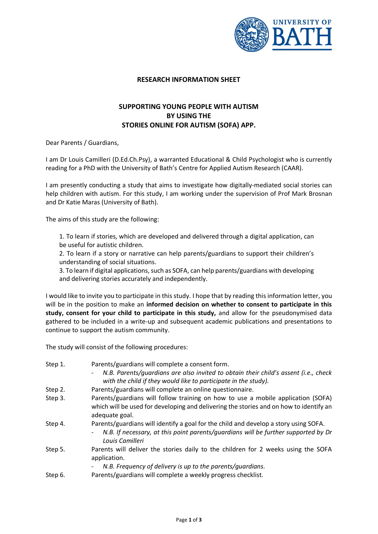

## **RESEARCH INFORMATION SHEET**

## **SUPPORTING YOUNG PEOPLE WITH AUTISM BY USING THE STORIES ONLINE FOR AUTISM (SOFA) APP.**

Dear Parents / Guardians,

I am Dr Louis Camilleri (D.Ed.Ch.Psy), a warranted Educational & Child Psychologist who is currently reading for a PhD with the University of Bath's Centre for Applied Autism Research (CAAR).

I am presently conducting a study that aims to investigate how digitally-mediated social stories can help children with autism. For this study, I am working under the supervision of Prof Mark Brosnan and Dr Katie Maras (University of Bath).

The aims of this study are the following:

1. To learn if stories, which are developed and delivered through a digital application, can be useful for autistic children.

2. To learn if a story or narrative can help parents/guardians to support their children's understanding of social situations.

3. To learn if digital applications, such as SOFA, can help parents/guardians with developing and delivering stories accurately and independently.

I would like to invite you to participate in this study. I hope that by reading this information letter, you will be in the position to make an **informed decision on whether to consent to participate in this study, consent for your child to participate in this study,** and allow for the pseudonymised data gathered to be included in a write-up and subsequent academic publications and presentations to continue to support the autism community.

The study will consist of the following procedures:

| Step 1. | Parents/guardians will complete a consent form.                                                                                                                                               |
|---------|-----------------------------------------------------------------------------------------------------------------------------------------------------------------------------------------------|
|         | N.B. Parents/guardians are also invited to obtain their child's assent (i.e., check<br>-<br>with the child if they would like to participate in the study).                                   |
| Step 2. | Parents/guardians will complete an online questionnaire.                                                                                                                                      |
| Step 3. | Parents/guardians will follow training on how to use a mobile application (SOFA)<br>which will be used for developing and delivering the stories and on how to identify an<br>adequate goal.  |
| Step 4. | Parents/guardians will identify a goal for the child and develop a story using SOFA.<br>N.B. If necessary, at this point parents/quardians will be further supported by Dr<br>Louis Camilleri |
| Step 5. | Parents will deliver the stories daily to the children for 2 weeks using the SOFA<br>application.                                                                                             |
|         | N.B. Frequency of delivery is up to the parents/quardians.<br>Parents/guardians will complete a weekly progress checklist.                                                                    |
| Step 6. |                                                                                                                                                                                               |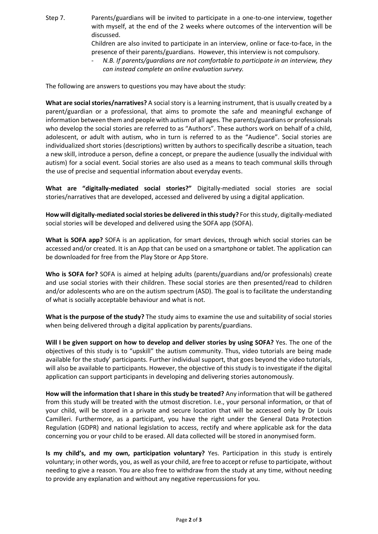Step 7. Parents/guardians will be invited to participate in a one-to-one interview, together with myself, at the end of the 2 weeks where outcomes of the intervention will be discussed.

Children are also invited to participate in an interview, online or face-to-face, in the presence of their parents/guardians. However, this interview is not compulsory.

- *N.B. If parents/guardians are not comfortable to participate in an interview, they can instead complete an online evaluation survey.* 

The following are answers to questions you may have about the study:

**What are social stories/narratives?** A social story is a learning instrument, that is usually created by a parent/guardian or a professional, that aims to promote the safe and meaningful exchange of information between them and people with autism of all ages. The parents/guardians or professionals who develop the social stories are referred to as "Authors". These authors work on behalf of a child, adolescent, or adult with autism, who in turn is referred to as the "Audience". Social stories are individualized short stories (descriptions) written by authors to specifically describe a situation, teach a new skill, introduce a person, define a concept, or prepare the audience (usually the individual with autism) for a social event. Social stories are also used as a means to teach communal skills through the use of precise and sequential information about everyday events.

**What are "digitally-mediated social stories?"** Digitally-mediated social stories are social stories/narratives that are developed, accessed and delivered by using a digital application.

**How will digitally-mediated social stories be delivered in this study?** For this study, digitally-mediated social stories will be developed and delivered using the SOFA app (SOFA).

**What is SOFA app?** SOFA is an application, for smart devices, through which social stories can be accessed and/or created. It is an App that can be used on a smartphone or tablet. The application can be downloaded for free from the Play Store or App Store.

**Who is SOFA for?** SOFA is aimed at helping adults (parents/guardians and/or professionals) create and use social stories with their children. These social stories are then presented/read to children and/or adolescents who are on the autism spectrum (ASD). The goal is to facilitate the understanding of what is socially acceptable behaviour and what is not.

**What is the purpose of the study?** The study aims to examine the use and suitability of social stories when being delivered through a digital application by parents/guardians.

**Will I be given support on how to develop and deliver stories by using SOFA?** Yes. The one of the objectives of this study is to "upskill" the autism community. Thus, video tutorials are being made available for the study' participants. Further individual support, that goes beyond the video tutorials, will also be available to participants. However, the objective of this study is to investigate if the digital application can support participants in developing and delivering stories autonomously.

**How will the information that I share in this study be treated?** Any information that will be gathered from this study will be treated with the utmost discretion. I.e., your personal information, or that of your child, will be stored in a private and secure location that will be accessed only by Dr Louis Camilleri. Furthermore, as a participant, you have the right under the General Data Protection Regulation (GDPR) and national legislation to access, rectify and where applicable ask for the data concerning you or your child to be erased. All data collected will be stored in anonymised form.

**Is my child's, and my own, participation voluntary?** Yes. Participation in this study is entirely voluntary; in other words, you, as well as your child, are free to accept or refuse to participate, without needing to give a reason. You are also free to withdraw from the study at any time, without needing to provide any explanation and without any negative repercussions for you.